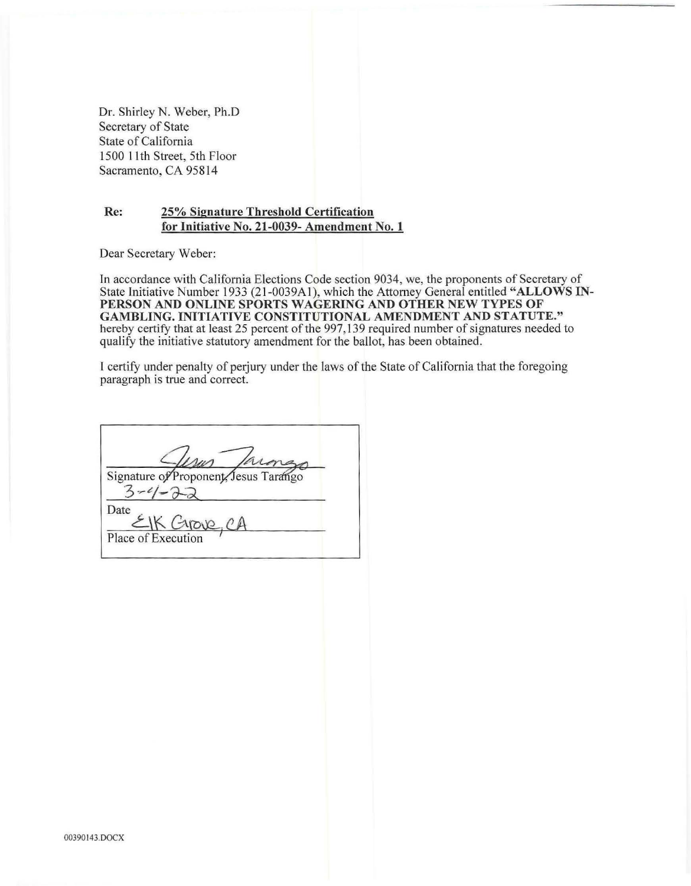Dr. Shirley N. Weber, Ph.D Secretary of State State of California 1500 11th Street, 5th Floor Sacramento, CA 95814

## **Re: 25% Signature Threshold Certification for Initiative No. 21-0039- Amendment No. 1**

Dear Secretary Weber:

In accordance with California Elections Code section 9034, we, the proponents of Secretary of State Initiative Number 1933 (21-0039A1), which the Attorney General entitled "ALLOWS IN-**PERSON AND ONLINE SPORTS WAGERING AND OTHER NEW TYPES OF GAMBLING. INITIATIVE CONSTITUTIONAL AMENDMENT AND STATUTE."**  hereby certify that at least 25 percent of the 997,139 required number of signatures needed to qualify the initiative statutory amendment for the ballot, has been obtained.

I certify under penalty of perjury under the laws of the State of California that the foregoing paragraph is true and correct.

Signature of Proponent, Jesus Tarango  $3 - 4 - 22$ Date Place of Execution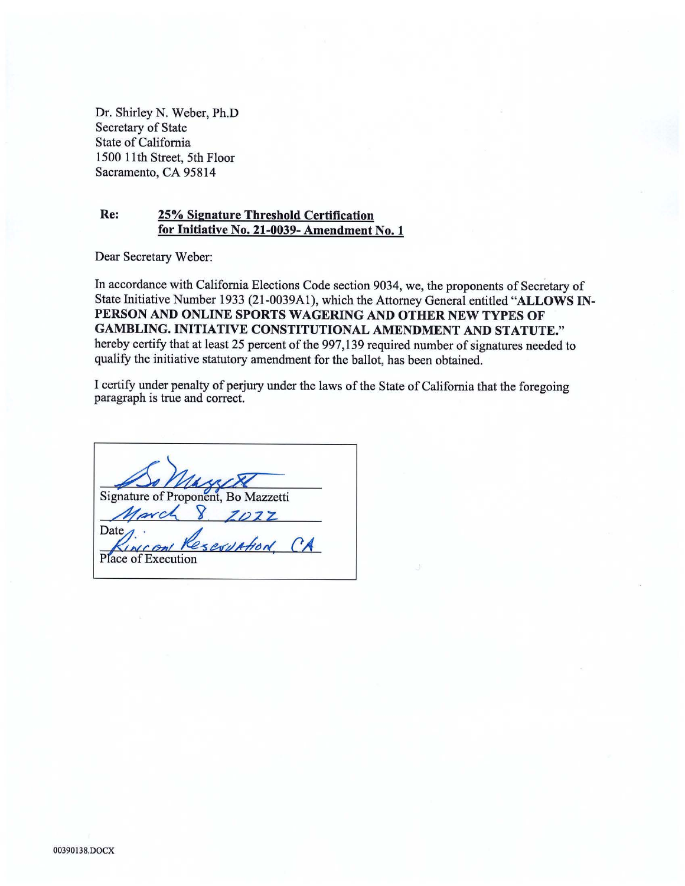Dr. Shirley N. Weber, Ph.D Secretary of State State of California 1500 11th Street, 5th Floor Sacramento, CA 95814

## **Re: 25% Signature Threshold Certification for Initiative No. 21-0039- Amendment No. 1**

Dear Secretary Weber:

In accordance with California Elections Code section 9034, we, the proponents of Secretary of State Initiative Number 1933 (21-0039Al), which the Attorney General entitled **"ALLOWS IN-PERSON AND ONLINE SPORTS WAGERING AND OTHER NEW TYPES OF GAMBLING. INITIATIVE CONSTITUTIONAL AMENDMENT AND STATUTE."**  hereby certify that at least 25 percent of the 997,139 required number of signatures needed to qualify the initiative statutory amendment for the ballot, has been obtained.

I certify under penalty of perjury under the laws of the State of California that the foregoing paragraph is true and correct.

Signature of Proponent, Bo Mazzetti<br>*March* 8 *ZO*2 *z* **SEVULTION CA**  $\sqrt{2n}$ Place of Execution